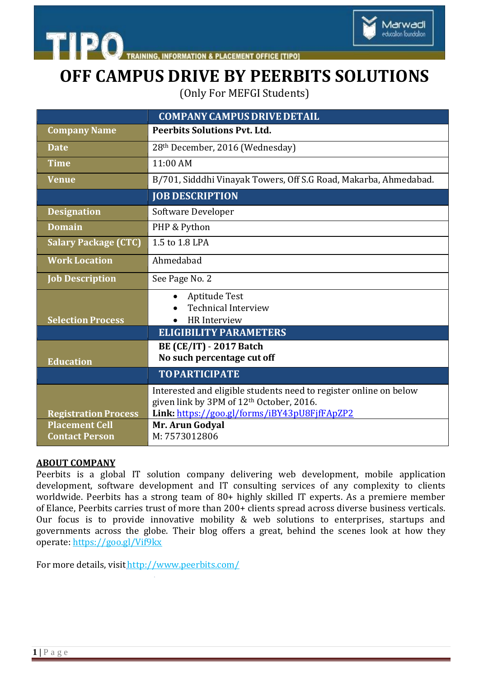



Marwadi education foundation

(Only For MEFGI Students)

|                                                | <b>COMPANY CAMPUS DRIVE DETAIL</b>                                                                                        |
|------------------------------------------------|---------------------------------------------------------------------------------------------------------------------------|
| <b>Company Name</b>                            | <b>Peerbits Solutions Pvt. Ltd.</b>                                                                                       |
| <b>Date</b>                                    | 28th December, 2016 (Wednesday)                                                                                           |
| <b>Time</b>                                    | 11:00 AM                                                                                                                  |
| <b>Venue</b>                                   | B/701, Sidddhi Vinayak Towers, Off S.G Road, Makarba, Ahmedabad.                                                          |
|                                                | <b>JOB DESCRIPTION</b>                                                                                                    |
| <b>Designation</b>                             | Software Developer                                                                                                        |
| <b>Domain</b>                                  | PHP & Python                                                                                                              |
| <b>Salary Package (CTC)</b>                    | 1.5 to 1.8 LPA                                                                                                            |
| <b>Work Location</b>                           | Ahmedabad                                                                                                                 |
| <b>Job Description</b>                         | See Page No. 2                                                                                                            |
|                                                | Aptitude Test                                                                                                             |
| <b>Selection Process</b>                       | <b>Technical Interview</b><br><b>HR</b> Interview                                                                         |
|                                                | <b>ELIGIBILITY PARAMETERS</b>                                                                                             |
|                                                | <b>BE (CE/IT) - 2017 Batch</b><br>No such percentage cut off                                                              |
| <b>Education</b>                               |                                                                                                                           |
|                                                | <b>TOPARTICIPATE</b>                                                                                                      |
|                                                | Interested and eligible students need to register online on below<br>given link by 3PM of 12 <sup>th</sup> October, 2016. |
| <b>Registration Process</b>                    | Link: https://goo.gl/forms/iBY43pU8FjfFApZP2                                                                              |
| <b>Placement Cell</b><br><b>Contact Person</b> | Mr. Arun Godyal<br>M: 7573012806                                                                                          |

#### **ABOUT COMPANY**

Peerbits is a global IT solution company delivering web development, mobile application development, software development and IT consulting services of any complexity to clients worldwide. Peerbits has a strong team of 80+ highly skilled IT experts. As a premiere member of Elance, Peerbits carries trust of more than 200+ clients spread across diverse business verticals. Our focus is to provide innovative mobility & web solutions to enterprises, startups and governments across the globe. Their blog offers a great, behind the scenes look at how they operate: <https://goo.gl/Vif9kx>

For more details, visit<http://www.peerbits.com/>